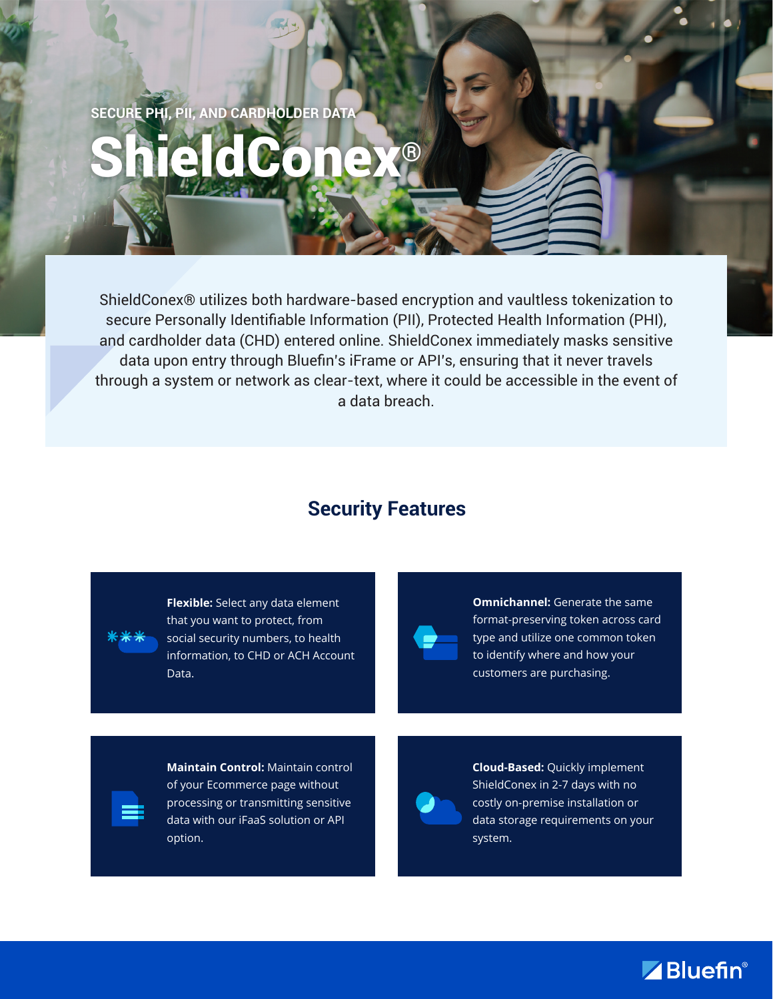**SECURE PHI, PII, AND CARDHOLDER DATA**

# ShieldConex®

ShieldConex® utilizes both hardware-based encryption and vaultless tokenization to secure Personally Identifiable Information (PII), Protected Health Information (PHI), and cardholder data (CHD) entered online. ShieldConex immediately masks sensitive data upon entry through Bluefin's iFrame or API's, ensuring that it never travels through a system or network as clear-text, where it could be accessible in the event of a data breach.

### **Security Features**

**Flexible:** Select any data element that you want to protect, from social security numbers, to health information, to CHD or ACH Account Data.

**Omnichannel:** Generate the same format-preserving token across card type and utilize one common token to identify where and how your customers are purchasing.

**Maintain Control:** Maintain control of your Ecommerce page without processing or transmitting sensitive data with our iFaaS solution or API option.



**Cloud-Based:** Quickly implement ShieldConex in 2-7 days with no costly on-premise installation or data storage requirements on your system.